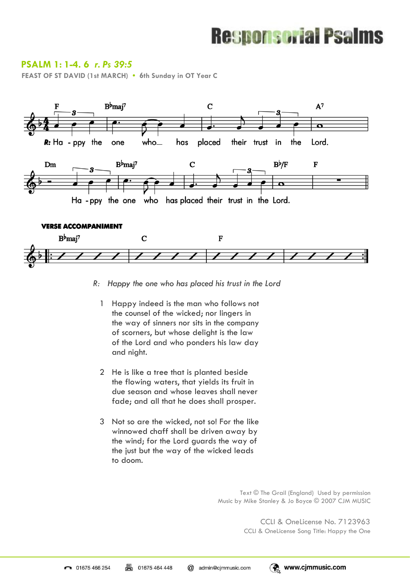# **Responsorial Psalms**

### **PSALM 1: 1-4. 6** *r. Ps 39:5*

**FEAST OF ST DAVID (1st MARCH) • 6th Sunday in OT Year C** 



- $R_{\rm}$ Happy the one who has placed his trust in the Lord
	- 1 Happy indeed is the man who follows not the counsel of the wicked; nor lingers in the way of sinners nor sits in the company of scorners, but whose delight is the law of the Lord and who ponders his law day and night.
	- 2 He is like a tree that is planted beside the flowing waters, that yields its fruit in due season and whose leaves shall never fade; and all that he does shall prosper.
	- 3 Not so are the wicked, not so! For the like winnowed chaff shall be driven away by the wind; for the Lord guards the way of the just but the way of the wicked leads to doom.

Text © The Grail (England) Used by permission Music by Mike Stanley & Jo Boyce © 2007 CJM MUSIC

> CCLI & OneLicense No. 7123963 CCLI & OneLicense Song Title: Happy the One